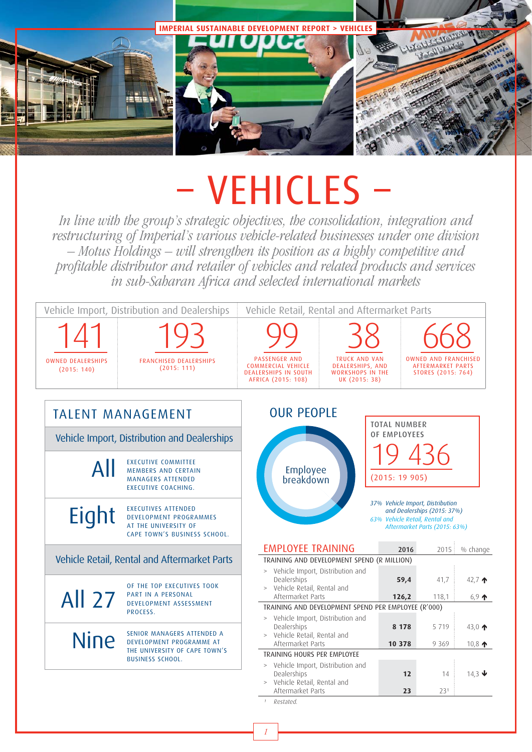

# – VEHICLES –

In line with the group's strategic objectives, the consolidation, integration and restructuring of Imperial's various vehicle-related businesses under one division – Motus Holdings – will strengthen its position as a highly competitive and profitable distributor and retailer of vehicles and related products and services in sub-Saharan Africa and selected international markets

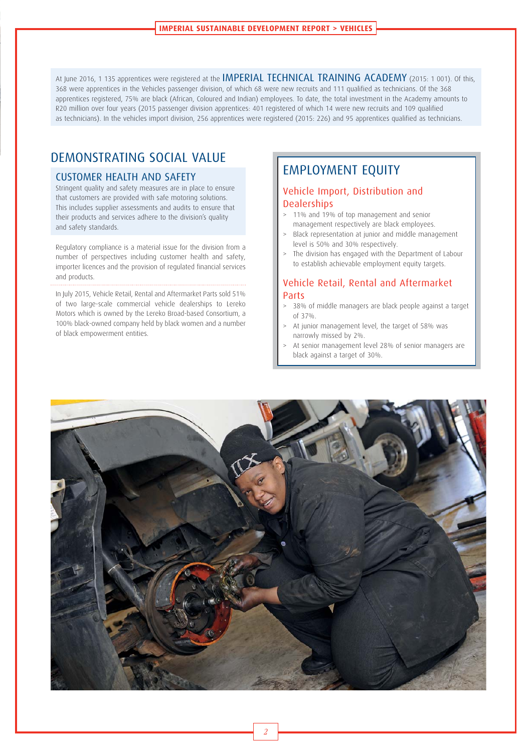At June 2016, 1 135 apprentices were registered at the IMPERIAL TECHNICAL TRAINING ACADEMY (2015: 1 001). Of this, 368 were apprentices in the Vehicles passenger division, of which 68 were new recruits and 111 qualified as technicians. Of the 368 apprentices registered, 75% are black (African, Coloured and Indian) employees. To date, the total investment in the Academy amounts to R20 million over four years (2015 passenger division apprentices: 401 registered of which 14 were new recruits and 109 qualified as technicians). In the vehicles import division, 256 apprentices were registered (2015: 226) and 95 apprentices qualified as technicians.

## DEMONSTRATING SOCIAL VALUE

#### CUSTOMER HEALTH AND SAFETY

Stringent quality and safety measures are in place to ensure that customers are provided with safe motoring solutions. This includes supplier assessments and audits to ensure that their products and services adhere to the division's quality and safety standards.

Regulatory compliance is a material issue for the division from a number of perspectives including customer health and safety, importer licences and the provision of regulated financial services and products.

In July 2015, Vehicle Retail, Rental and Aftermarket Parts sold 51% of two large-scale commercial vehicle dealerships to Lereko Motors which is owned by the Lereko Broad-based Consortium, a 100% black-owned company held by black women and a number of black empowerment entities.

## EMPLOYMENT EQUITY

## Vehicle Import, Distribution and **Dealerships**

- > 11% and 19% of top management and senior management respectively are black employees.
- Black representation at junior and middle management level is 50% and 30% respectively.
- The division has engaged with the Department of Labour to establish achievable employment equity targets.

### Vehicle Retail, Rental and Aftermarket Parts

- > 38% of middle managers are black people against a target of 37%.
- At junior management level, the target of 58% was narrowly missed by 2%.
- At senior management level 28% of senior managers are black against a target of 30%.